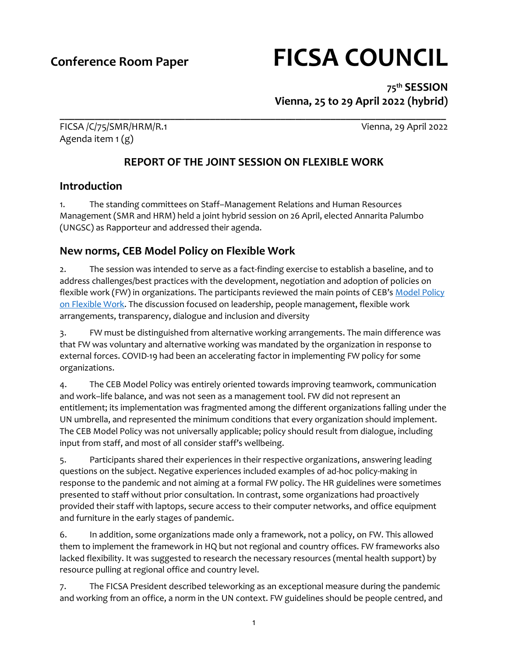**Conference Room Paper FICSA COUNCIL**

**75 th SESSION Vienna, 25 to 29 April 2022 (hybrid)**

**\_\_\_\_\_\_\_\_\_\_\_\_\_\_\_\_\_\_\_\_\_\_\_\_\_\_\_\_\_\_\_\_\_\_\_\_\_\_\_\_\_\_\_\_\_\_\_\_\_\_\_\_\_\_\_\_\_\_\_\_\_\_\_\_\_\_\_\_\_\_\_\_\_\_\_\_\_** FICSA /C/75/SMR/HRM/R.1 Vienna, 29 April 2022 Agenda item  $1(g)$ 

# **REPORT OF THE JOINT SESSION ON FLEXIBLE WORK**

### **Introduction**

1. The standing committees on Staff–Management Relations and Human Resources Management (SMR and HRM) held a joint hybrid session on 26 April, elected Annarita Palumbo (UNGSC) as Rapporteur and addressed their agenda.

## **New norms, CEB Model Policy on Flexible Work**

2. The session was intended to serve as a fact-finding exercise to establish a baseline, and to address challenges/best practices with the development, negotiation and adoption of policies on flexible work (FW) in organizations. The participants reviewed the main points of CEB's Model Policy [on Flexible Work.](file:///C:/Users/iaea-user/Desktop/2022%20report/SC%20reports%2075Council_DRAFTS/1.%09https:/unsceb.org/sites/default/files/2021-10/2021.HLCM_.10.Add_.1%20-%20Flexible%20Work%20Model%20Policy.pdf) The discussion focused on leadership, people management, flexible work arrangements, transparency, dialogue and inclusion and diversity

3. FW must be distinguished from alternative working arrangements. The main difference was that FW was voluntary and alternative working was mandated by the organization in response to external forces. COVID-19 had been an accelerating factor in implementing FW policy for some organizations.

4. The CEB Model Policy was entirely oriented towards improving teamwork, communication and work–life balance, and was not seen as a management tool. FW did not represent an entitlement; its implementation was fragmented among the different organizations falling under the UN umbrella, and represented the minimum conditions that every organization should implement. The CEB Model Policy was not universally applicable; policy should result from dialogue, including input from staff, and most of all consider staff's wellbeing.

5. Participants shared their experiences in their respective organizations, answering leading questions on the subject. Negative experiences included examples of ad-hoc policy-making in response to the pandemic and not aiming at a formal FW policy. The HR guidelines were sometimes presented to staff without prior consultation. In contrast, some organizations had proactively provided their staff with laptops, secure access to their computer networks, and office equipment and furniture in the early stages of pandemic.

6. In addition, some organizations made only a framework, not a policy, on FW. This allowed them to implement the framework in HQ but not regional and country offices. FW frameworks also lacked flexibility. It was suggested to research the necessary resources (mental health support) by resource pulling at regional office and country level.

7. The FICSA President described teleworking as an exceptional measure during the pandemic and working from an office, a norm in the UN context. FW guidelines should be people centred, and